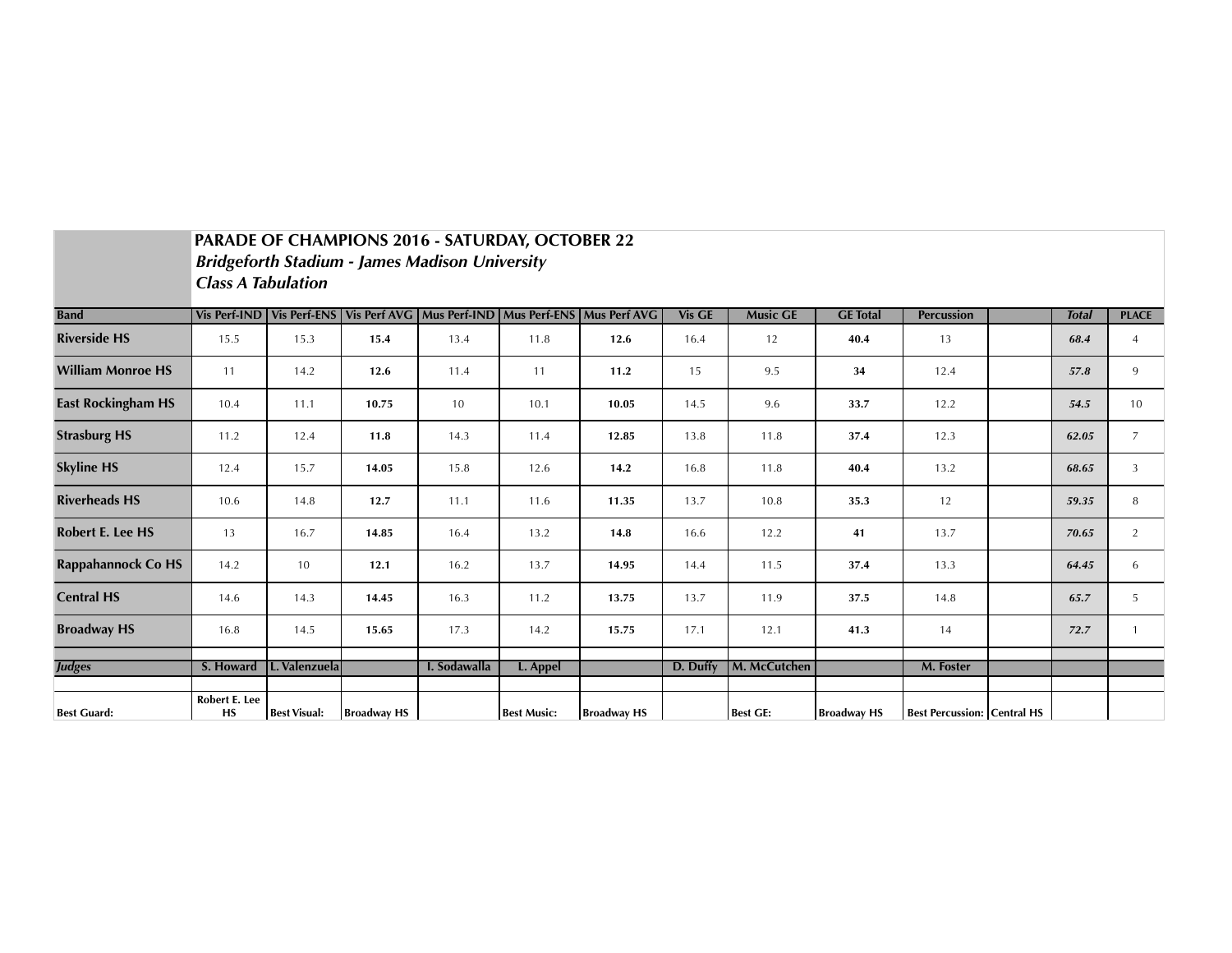|                           | PARADE OF CHAMPIONS 2016 - SATURDAY, OCTOBER 22<br><b>Bridgeforth Stadium - James Madison University</b><br><b>Class A Tabulation</b> |                     |                    |              |                    |                                                                          |               |                 |                    |                                    |  |              |                |
|---------------------------|---------------------------------------------------------------------------------------------------------------------------------------|---------------------|--------------------|--------------|--------------------|--------------------------------------------------------------------------|---------------|-----------------|--------------------|------------------------------------|--|--------------|----------------|
| <b>Band</b>               | Vis Perf-IND                                                                                                                          |                     |                    |              |                    | Vis Perf-ENS   Vis Perf AVG   Mus Perf-IND   Mus Perf-ENS   Mus Perf AVG | <b>Vis GE</b> | <b>Music GE</b> | <b>GE</b> Total    | <b>Percussion</b>                  |  | <b>Total</b> | <b>PLACE</b>   |
| <b>Riverside HS</b>       | 15.5                                                                                                                                  | 15.3                | 15.4               | 13.4         | 11.8               | 12.6                                                                     | 16.4          | 12              | 40.4               | 13                                 |  | 68.4         | $\overline{4}$ |
| <b>William Monroe HS</b>  | 11                                                                                                                                    | 14.2                | 12.6               | 11.4         | 11                 | 11.2                                                                     | 15            | 9.5             | 34                 | 12.4                               |  | 57.8         | 9              |
| <b>East Rockingham HS</b> | 10.4                                                                                                                                  | 11.1                | 10.75              | 10           | 10.1               | 10.05                                                                    | 14.5          | 9.6             | 33.7               | 12.2                               |  | 54.5         | 10             |
| <b>Strasburg HS</b>       | 11.2                                                                                                                                  | 12.4                | 11.8               | 14.3         | 11.4               | 12.85                                                                    | 13.8          | 11.8            | 37.4               | 12.3                               |  | 62.05        | $\overline{7}$ |
| <b>Skyline HS</b>         | 12.4                                                                                                                                  | 15.7                | 14.05              | 15.8         | 12.6               | 14.2                                                                     | 16.8          | 11.8            | 40.4               | 13.2                               |  | 68.65        | 3              |
| <b>Riverheads HS</b>      | 10.6                                                                                                                                  | 14.8                | 12.7               | 11.1         | 11.6               | 11.35                                                                    | 13.7          | 10.8            | 35.3               | 12                                 |  | 59.35        | 8              |
| <b>Robert E. Lee HS</b>   | 13                                                                                                                                    | 16.7                | 14.85              | 16.4         | 13.2               | 14.8                                                                     | 16.6          | 12.2            | 41                 | 13.7                               |  | 70.65        | 2              |
| <b>Rappahannock Co HS</b> | 14.2                                                                                                                                  | 10                  | 12.1               | 16.2         | 13.7               | 14.95                                                                    | 14.4          | 11.5            | 37.4               | 13.3                               |  | 64.45        | 6              |
| <b>Central HS</b>         | 14.6                                                                                                                                  | 14.3                | 14.45              | 16.3         | 11.2               | 13.75                                                                    | 13.7          | 11.9            | 37.5               | 14.8                               |  | 65.7         | 5              |
| <b>Broadway HS</b>        | 16.8                                                                                                                                  | 14.5                | 15.65              | 17.3         | 14.2               | 15.75                                                                    | 17.1          | 12.1            | 41.3               | 14                                 |  | 72.7         | $\mathbf{1}$   |
| <b>Judges</b>             | S. Howard                                                                                                                             | L. Valenzuela       |                    | I. Sodawalla | L. Appel           |                                                                          | D. Duffy      | M. McCutchen    |                    | M. Foster                          |  |              |                |
| <b>Best Guard:</b>        | Robert E. Lee<br><b>HS</b>                                                                                                            | <b>Best Visual:</b> | <b>Broadway HS</b> |              | <b>Best Music:</b> | <b>Broadway HS</b>                                                       |               | <b>Best GE:</b> | <b>Broadway HS</b> | <b>Best Percussion: Central HS</b> |  |              |                |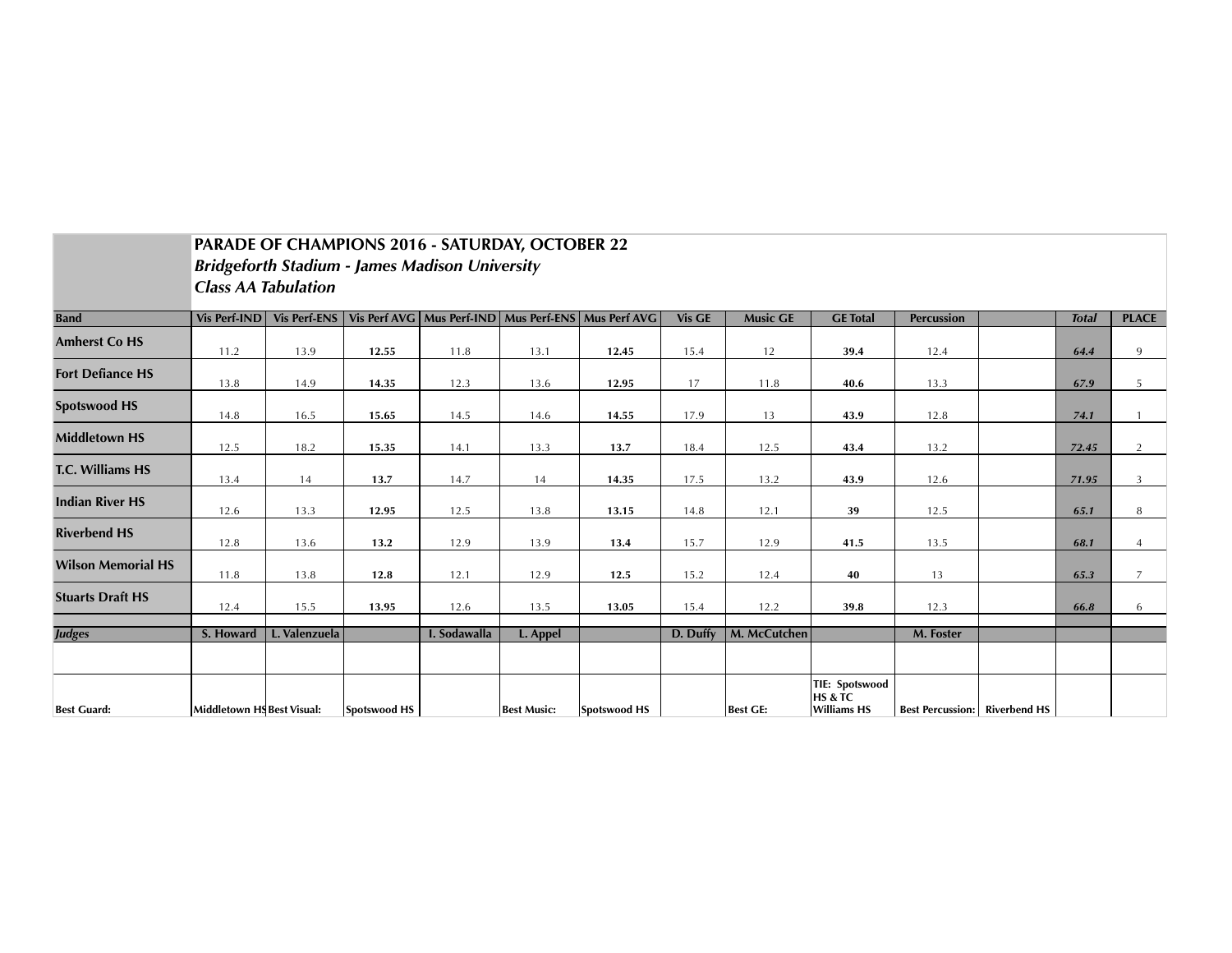|                           | <b>PARADE OF CHAMPIONS 2016 - SATURDAY, OCTOBER 22</b> |                     |              |              |                    |                                                           |          |                 |                                          |                                      |  |              |                |
|---------------------------|--------------------------------------------------------|---------------------|--------------|--------------|--------------------|-----------------------------------------------------------|----------|-----------------|------------------------------------------|--------------------------------------|--|--------------|----------------|
|                           | <b>Bridgeforth Stadium - James Madison University</b>  |                     |              |              |                    |                                                           |          |                 |                                          |                                      |  |              |                |
|                           | <b>Class AA Tabulation</b>                             |                     |              |              |                    |                                                           |          |                 |                                          |                                      |  |              |                |
| <b>Band</b>               | <b>Vis Perf-IND</b>                                    | <b>Vis Perf-ENS</b> |              |              |                    | Vis Perf AVG   Mus Perf-IND   Mus Perf-ENS   Mus Perf AVG | Vis GE   | <b>Music GE</b> | <b>GE</b> Total                          | <b>Percussion</b>                    |  | <b>Total</b> | <b>PLACE</b>   |
| <b>Amherst Co HS</b>      | 11.2                                                   | 13.9                | 12.55        | 11.8         | 13.1               | 12.45                                                     | 15.4     | 12              | 39.4                                     | 12.4                                 |  | 64.4         | 9              |
| <b>Fort Defiance HS</b>   | 13.8                                                   | 14.9                | 14.35        | 12.3         | 13.6               | 12.95                                                     | 17       | 11.8            | 40.6                                     | 13.3                                 |  | 67.9         | 5              |
| <b>Spotswood HS</b>       | 14.8                                                   | 16.5                | 15.65        | 14.5         | 14.6               | 14.55                                                     | 17.9     | 13              | 43.9                                     | 12.8                                 |  | 74.1         |                |
| <b>Middletown HS</b>      | 12.5                                                   | 18.2                | 15.35        | 14.1         | 13.3               | 13.7                                                      | 18.4     | 12.5            | 43.4                                     | 13.2                                 |  | 72.45        | 2              |
| <b>T.C. Williams HS</b>   | 13.4                                                   | 14                  | 13.7         | 14.7         | 14                 | 14.35                                                     | 17.5     | 13.2            | 43.9                                     | 12.6                                 |  | 71.95        | $\overline{3}$ |
| <b>Indian River HS</b>    | 12.6                                                   | 13.3                | 12.95        | 12.5         | 13.8               | 13.15                                                     | 14.8     | 12.1            | 39                                       | 12.5                                 |  | 65.1         | 8              |
| <b>Riverbend HS</b>       | 12.8                                                   | 13.6                | 13.2         | 12.9         | 13.9               | 13.4                                                      | 15.7     | 12.9            | 41.5                                     | 13.5                                 |  | 68.1         | $\overline{4}$ |
| <b>Wilson Memorial HS</b> | 11.8                                                   | 13.8                | 12.8         | 12.1         | 12.9               | 12.5                                                      | 15.2     | 12.4            | 40                                       | 13                                   |  | 65.3         | $\overline{7}$ |
| <b>Stuarts Draft HS</b>   | 12.4                                                   | 15.5                | 13.95        | 12.6         | 13.5               | 13.05                                                     | 15.4     | 12.2            | 39.8                                     | 12.3                                 |  | 66.8         | 6              |
| <b>Judges</b>             | S. Howard                                              | L. Valenzuela       |              | I. Sodawalla | L. Appel           |                                                           | D. Duffy | M. McCutchen    |                                          | M. Foster                            |  |              |                |
|                           |                                                        |                     |              |              |                    |                                                           |          |                 |                                          |                                      |  |              |                |
|                           |                                                        |                     |              |              |                    |                                                           |          |                 | <b>TIE: Spotswood</b>                    |                                      |  |              |                |
| <b>Best Guard:</b>        | Middletown HS Best Visual:                             |                     | Spotswood HS |              | <b>Best Music:</b> | <b>Spotswood HS</b>                                       |          | <b>Best GE:</b> | <b>HS &amp; TC</b><br><b>Williams HS</b> | <b>Best Percussion:</b> Riverbend HS |  |              |                |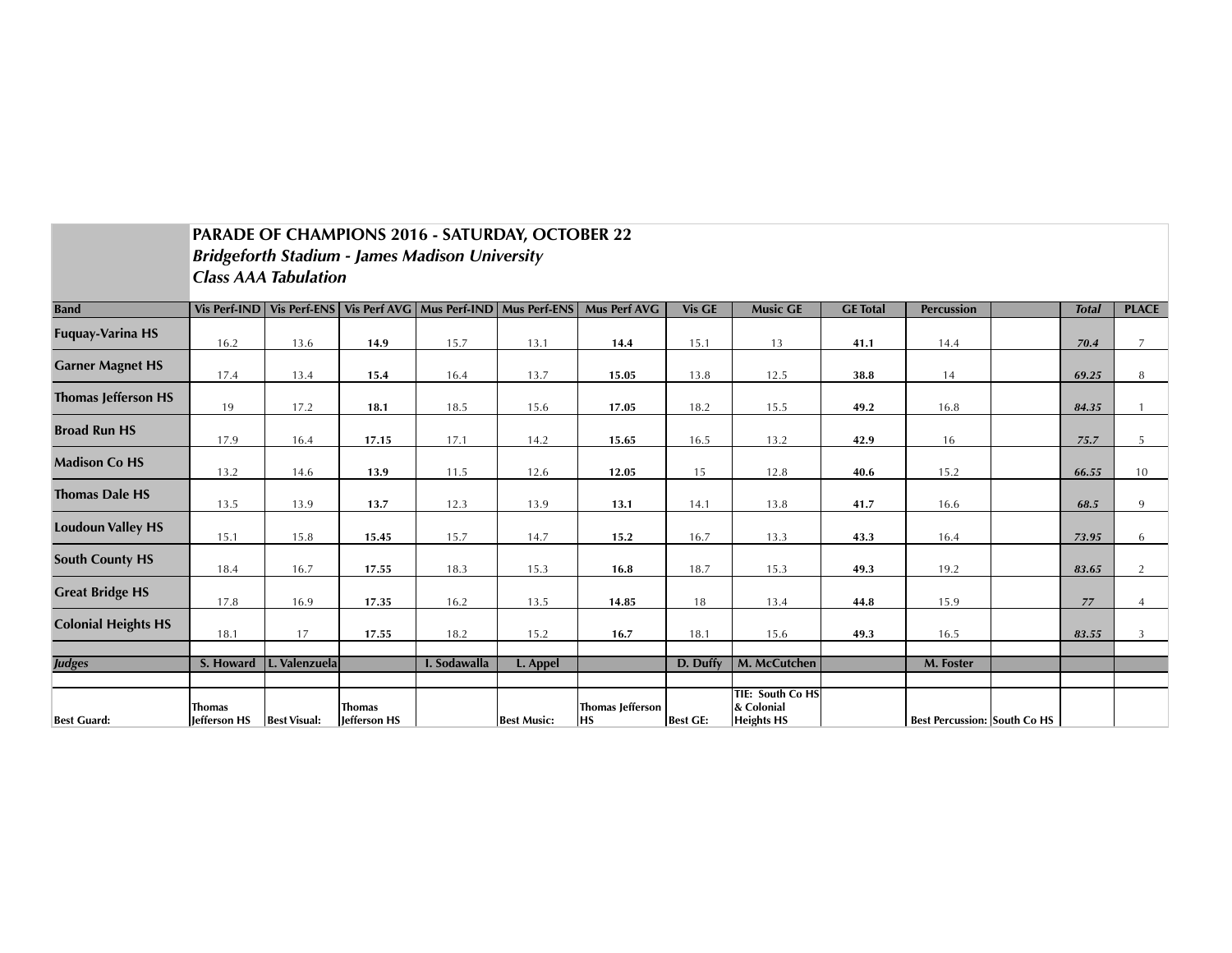|                            |                                                       |                     |                               | PARADE OF CHAMPIONS 2016 - SATURDAY, OCTOBER 22           |                    |                                      |                 |                                                     |                 |                                     |  |              |                |
|----------------------------|-------------------------------------------------------|---------------------|-------------------------------|-----------------------------------------------------------|--------------------|--------------------------------------|-----------------|-----------------------------------------------------|-----------------|-------------------------------------|--|--------------|----------------|
|                            | <b>Bridgeforth Stadium - James Madison University</b> |                     |                               |                                                           |                    |                                      |                 |                                                     |                 |                                     |  |              |                |
|                            | <b>Class AAA Tabulation</b>                           |                     |                               |                                                           |                    |                                      |                 |                                                     |                 |                                     |  |              |                |
| <b>Band</b>                | <b>Vis Perf-IND</b>                                   |                     |                               | Vis Perf-ENS   Vis Perf AVG   Mus Perf-IND   Mus Perf-ENS |                    | <b>Mus Perf AVG</b>                  | <b>Vis GE</b>   | <b>Music GE</b>                                     | <b>GE</b> Total | <b>Percussion</b>                   |  | <b>Total</b> | <b>PLACE</b>   |
| <b>Fuquay-Varina HS</b>    | 16.2                                                  | 13.6                | 14.9                          | 15.7                                                      | 13.1               | 14.4                                 | 15.1            | 13                                                  | 41.1            | 14.4                                |  | 70.4         | $\overline{7}$ |
| <b>Garner Magnet HS</b>    | 17.4                                                  | 13.4                | 15.4                          | 16.4                                                      | 13.7               | 15.05                                | 13.8            | 12.5                                                | 38.8            | 14                                  |  | 69.25        | 8              |
| <b>Thomas Jefferson HS</b> | 19                                                    | 17.2                | 18.1                          | 18.5                                                      | 15.6               | 17.05                                | 18.2            | 15.5                                                | 49.2            | 16.8                                |  | 84.35        |                |
| <b>Broad Run HS</b>        | 17.9                                                  | 16.4                | 17.15                         | 17.1                                                      | 14.2               | 15.65                                | 16.5            | 13.2                                                | 42.9            | 16                                  |  | 75.7         | 5              |
| <b>Madison Co HS</b>       | 13.2                                                  | 14.6                | 13.9                          | 11.5                                                      | 12.6               | 12.05                                | 15              | 12.8                                                | 40.6            | 15.2                                |  | 66.55        | 10             |
| <b>Thomas Dale HS</b>      | 13.5                                                  | 13.9                | 13.7                          | 12.3                                                      | 13.9               | 13.1                                 | 14.1            | 13.8                                                | 41.7            | 16.6                                |  | 68.5         | 9              |
| <b>Loudoun Valley HS</b>   | 15.1                                                  | 15.8                | 15.45                         | 15.7                                                      | 14.7               | 15.2                                 | 16.7            | 13.3                                                | 43.3            | 16.4                                |  | 73.95        | 6              |
| <b>South County HS</b>     | 18.4                                                  | 16.7                | 17.55                         | 18.3                                                      | 15.3               | 16.8                                 | 18.7            | 15.3                                                | 49.3            | 19.2                                |  | 83.65        | $\overline{2}$ |
| <b>Great Bridge HS</b>     | 17.8                                                  | 16.9                | 17.35                         | 16.2                                                      | 13.5               | 14.85                                | 18              | 13.4                                                | 44.8            | 15.9                                |  | $77$         | $\overline{4}$ |
| <b>Colonial Heights HS</b> | 18.1                                                  | 17                  | 17.55                         | 18.2                                                      | 15.2               | 16.7                                 | 18.1            | 15.6                                                | 49.3            | 16.5                                |  | 83.55        | $\overline{3}$ |
| <b>Judges</b>              | S. Howard                                             | L. Valenzuela       |                               | I. Sodawalla                                              | L. Appel           |                                      | D. Duffy        | M. McCutchen                                        |                 | M. Foster                           |  |              |                |
| <b>Best Guard:</b>         | <b>Thomas</b><br>Jefferson HS                         | <b>Best Visual:</b> | <b>Thomas</b><br>Jefferson HS |                                                           | <b>Best Music:</b> | <b>Thomas Jefferson</b><br><b>HS</b> | <b>Best GE:</b> | TIE: South Co HS<br>& Colonial<br><b>Heights HS</b> |                 | <b>Best Percussion: South Co HS</b> |  |              |                |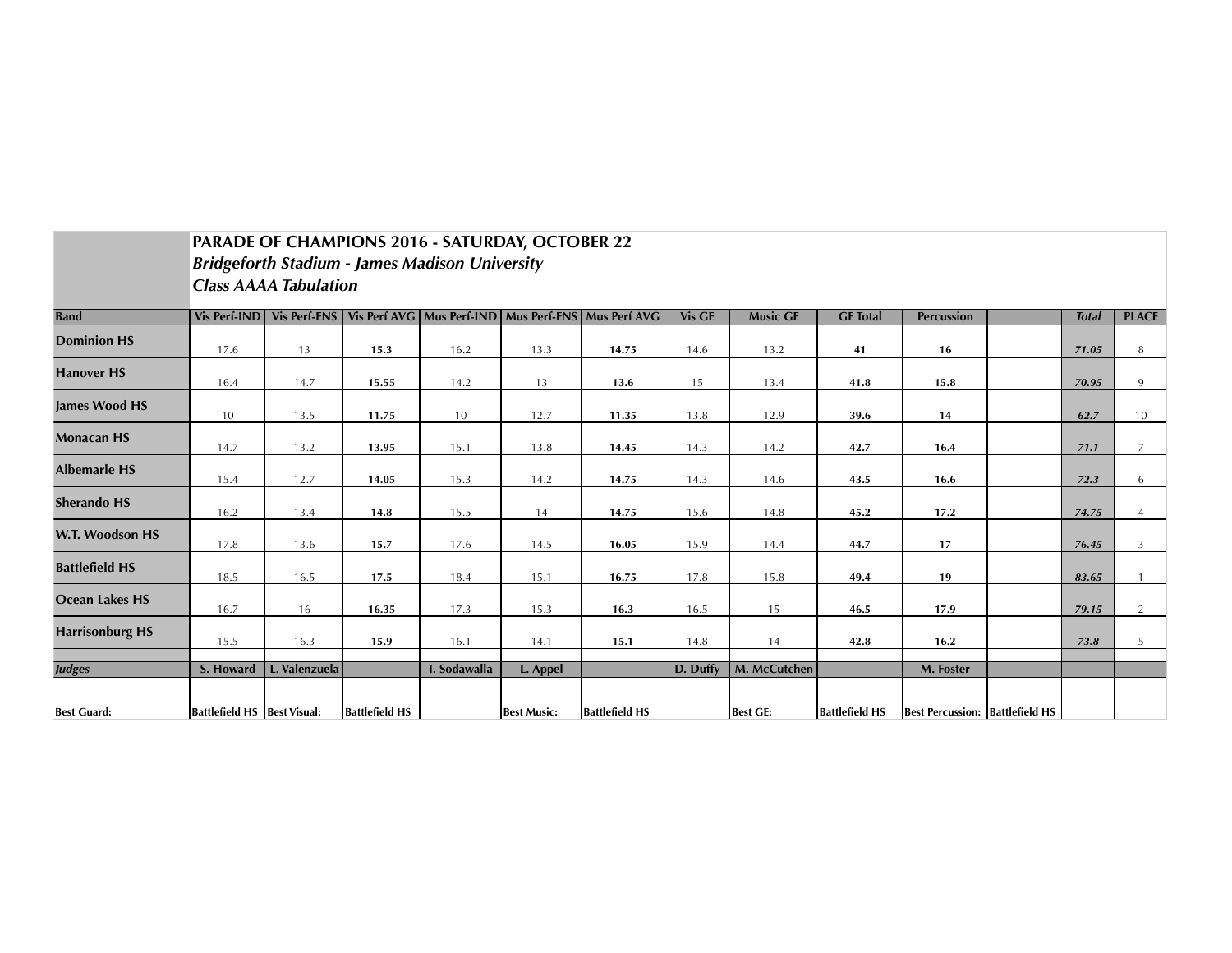|                        | PARADE OF CHAMPIONS 2016 - SATURDAY, OCTOBER 22       |                              |                       |                                            |                    |                       |               |                 |                       |                                        |  |              |                |
|------------------------|-------------------------------------------------------|------------------------------|-----------------------|--------------------------------------------|--------------------|-----------------------|---------------|-----------------|-----------------------|----------------------------------------|--|--------------|----------------|
|                        | <b>Bridgeforth Stadium - James Madison University</b> |                              |                       |                                            |                    |                       |               |                 |                       |                                        |  |              |                |
|                        |                                                       | <b>Class AAAA Tabulation</b> |                       |                                            |                    |                       |               |                 |                       |                                        |  |              |                |
| <b>Band</b>            | <b>Vis Perf-IND</b>                                   | <b>Vis Perf-ENS</b>          |                       | Vis Perf AVG   Mus Perf-IND   Mus Perf-ENS |                    | Mus Perf AVG          | <b>Vis GE</b> | <b>Music GE</b> | <b>GE</b> Total       | Percussion                             |  | <b>Total</b> | <b>PLACE</b>   |
| <b>Dominion HS</b>     | 17.6                                                  | 13                           | 15.3                  | 16.2                                       | 13.3               | 14.75                 | 14.6          | 13.2            | 41                    | 16                                     |  | 71.05        | 8              |
| <b>Hanover HS</b>      | 16.4                                                  | 14.7                         | 15.55                 | 14.2                                       | 13                 | 13.6                  | 15            | 13.4            | 41.8                  | 15.8                                   |  | 70.95        | 9              |
| <b>James Wood HS</b>   | 10                                                    | 13.5                         | 11.75                 | 10                                         | 12.7               | 11.35                 | 13.8          | 12.9            | 39.6                  | 14                                     |  | 62.7         | 10             |
| <b>Monacan HS</b>      | 14.7                                                  | 13.2                         | 13.95                 | 15.1                                       | 13.8               | 14.45                 | 14.3          | 14.2            | 42.7                  | 16.4                                   |  | 71.1         | $\overline{7}$ |
| <b>Albemarle HS</b>    | 15.4                                                  | 12.7                         | 14.05                 | 15.3                                       | 14.2               | 14.75                 | 14.3          | 14.6            | 43.5                  | 16.6                                   |  | 72.3         | 6              |
| <b>Sherando HS</b>     | 16.2                                                  | 13.4                         | 14.8                  | 15.5                                       | 14                 | 14.75                 | 15.6          | 14.8            | 45.2                  | 17.2                                   |  | 74.75        |                |
| W.T. Woodson HS        | 17.8                                                  | 13.6                         | 15.7                  | 17.6                                       | 14.5               | 16.05                 | 15.9          | 14.4            | 44.7                  | 17                                     |  | 76.45        | 3              |
| <b>Battlefield HS</b>  | 18.5                                                  | 16.5                         | 17.5                  | 18.4                                       | 15.1               | 16.75                 | 17.8          | 15.8            | 49.4                  | 19                                     |  | 83.65        |                |
| Ocean Lakes HS         | 16.7                                                  | 16                           | 16.35                 | 17.3                                       | 15.3               | 16.3                  | 16.5          | 15              | 46.5                  | 17.9                                   |  | 79.15        | $\overline{2}$ |
| <b>Harrisonburg HS</b> | 15.5                                                  | 16.3                         | 15.9                  | 16.1                                       | 14.1               | 15.1                  | 14.8          | 14              | 42.8                  | 16.2                                   |  | 73.8         | 5              |
| <b>Judges</b>          | S. Howard                                             | L. Valenzuela                |                       | I. Sodawalla                               | L. Appel           |                       | D. Duffy      | M. McCutchen    |                       | M. Foster                              |  |              |                |
| <b>Best Guard:</b>     | Battlefield HS   Best Visual:                         |                              | <b>Battlefield HS</b> |                                            | <b>Best Music:</b> | <b>Battlefield HS</b> |               | <b>Best GE:</b> | <b>Battlefield HS</b> | <b>Best Percussion: Battlefield HS</b> |  |              |                |